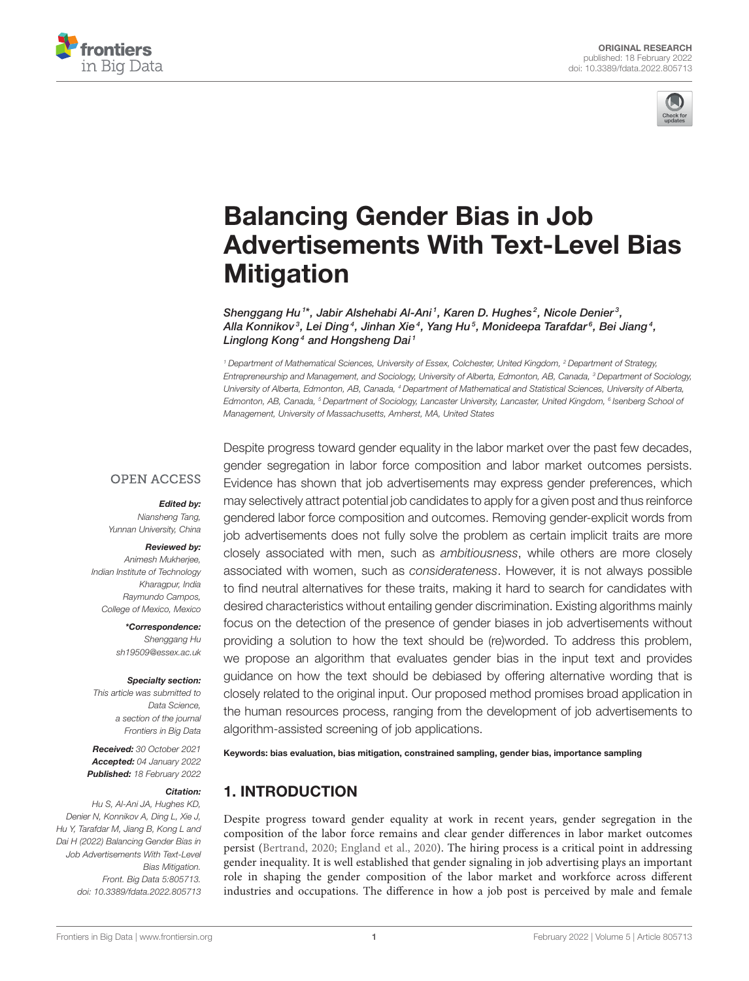



# Balancing Gender Bias in Job [Advertisements With Text-Level Bias](https://www.frontiersin.org/articles/10.3389/fdata.2022.805713/full) **Mitigation**

Shenggang Hu<sup>1\*</sup>, Jabir Alshehabi Al-Ani<sup>1</sup>, Karen D. Hughes<sup>2</sup>, Nicole Denier<sup>3</sup>, Alla Konnikov $^{\circ}$ , Lei Ding $^{\circ}$ , Jinhan Xie $^{\circ}$ , Yang Hu $^{\circ}$ , Monideepa Tarafdar $^{\circ}$ , Bei Jiang $^{\circ}$ , Linglong Kong<sup>4</sup> and Hongsheng Dai<sup>1</sup>

*<sup>1</sup> Department of Mathematical Sciences, University of Essex, Colchester, United Kingdom, <sup>2</sup> Department of Strategy, Entrepreneurship and Management, and Sociology, University of Alberta, Edmonton, AB, Canada, <sup>3</sup> Department of Sociology, University of Alberta, Edmonton, AB, Canada, <sup>4</sup> Department of Mathematical and Statistical Sciences, University of Alberta, Edmonton, AB, Canada, <sup>5</sup> Department of Sociology, Lancaster University, Lancaster, United Kingdom, <sup>6</sup> Isenberg School of Management, University of Massachusetts, Amherst, MA, United States*

### **OPEN ACCESS**

#### Edited by:

*Niansheng Tang, Yunnan University, China*

#### Reviewed by:

*Animesh Mukherjee, Indian Institute of Technology Kharagpur, India Raymundo Campos, College of Mexico, Mexico*

> \*Correspondence: *Shenggang Hu [sh19509@essex.ac.uk](mailto:sh19509@essex.ac.uk)*

#### Specialty section:

*This article was submitted to Data Science, a section of the journal Frontiers in Big Data*

Received: *30 October 2021* Accepted: *04 January 2022* Published: *18 February 2022*

#### Citation:

*Hu S, Al-Ani JA, Hughes KD, Denier N, Konnikov A, Ding L, Xie J, Hu Y, Tarafdar M, Jiang B, Kong L and Dai H (2022) Balancing Gender Bias in Job Advertisements With Text-Level Bias Mitigation. Front. Big Data 5:805713. doi: [10.3389/fdata.2022.805713](https://doi.org/10.3389/fdata.2022.805713)*

Despite progress toward gender equality in the labor market over the past few decades, gender segregation in labor force composition and labor market outcomes persists. Evidence has shown that job advertisements may express gender preferences, which may selectively attract potential job candidates to apply for a given post and thus reinforce gendered labor force composition and outcomes. Removing gender-explicit words from job advertisements does not fully solve the problem as certain implicit traits are more closely associated with men, such as *ambitiousness*, while others are more closely associated with women, such as *considerateness*. However, it is not always possible to find neutral alternatives for these traits, making it hard to search for candidates with desired characteristics without entailing gender discrimination. Existing algorithms mainly focus on the detection of the presence of gender biases in job advertisements without providing a solution to how the text should be (re)worded. To address this problem, we propose an algorithm that evaluates gender bias in the input text and provides guidance on how the text should be debiased by offering alternative wording that is closely related to the original input. Our proposed method promises broad application in the human resources process, ranging from the development of job advertisements to algorithm-assisted screening of job applications.

Keywords: bias evaluation, bias mitigation, constrained sampling, gender bias, importance sampling

# 1. INTRODUCTION

Despite progress toward gender equality at work in recent years, gender segregation in the composition of the labor force remains and clear gender differences in labor market outcomes persist [\(Bertrand, 2020;](#page-8-0) [England et al., 2020\)](#page-8-1). The hiring process is a critical point in addressing gender inequality. It is well established that gender signaling in job advertising plays an important role in shaping the gender composition of the labor market and workforce across different industries and occupations. The difference in how a job post is perceived by male and female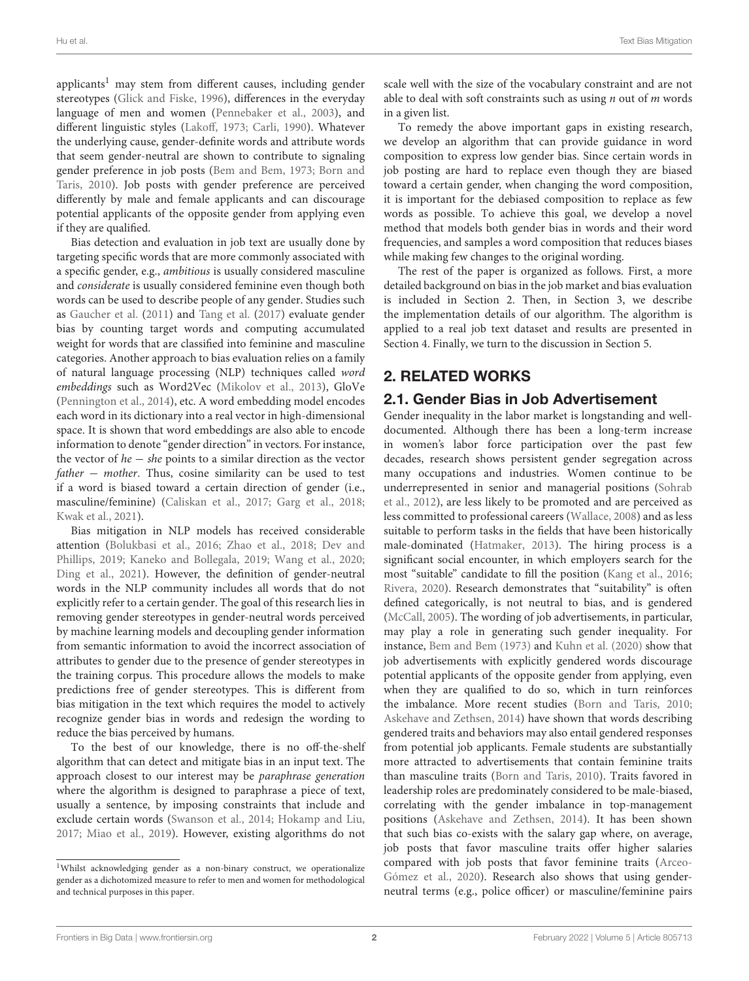applicants<sup>[1](#page-1-0)</sup> may stem from different causes, including gender stereotypes [\(Glick and Fiske, 1996\)](#page-8-2), differences in the everyday language of men and women [\(Pennebaker et al., 2003\)](#page-8-3), and different linguistic styles [\(Lakoff, 1973;](#page-8-4) [Carli, 1990\)](#page-8-5). Whatever the underlying cause, gender-definite words and attribute words that seem gender-neutral are shown to contribute to signaling gender preference in job posts [\(Bem and Bem, 1973;](#page-8-6) Born and Taris, [2010\)](#page-8-7). Job posts with gender preference are perceived differently by male and female applicants and can discourage potential applicants of the opposite gender from applying even if they are qualified.

Bias detection and evaluation in job text are usually done by targeting specific words that are more commonly associated with a specific gender, e.g., ambitious is usually considered masculine and considerate is usually considered feminine even though both words can be used to describe people of any gender. Studies such as [Gaucher et al.](#page-8-8) [\(2011\)](#page-8-8) and [Tang et al.](#page-9-0) [\(2017\)](#page-9-0) evaluate gender bias by counting target words and computing accumulated weight for words that are classified into feminine and masculine categories. Another approach to bias evaluation relies on a family of natural language processing (NLP) techniques called word embeddings such as Word2Vec [\(Mikolov et al., 2013\)](#page-8-9), GloVe [\(Pennington et al., 2014\)](#page-8-10), etc. A word embedding model encodes each word in its dictionary into a real vector in high-dimensional space. It is shown that word embeddings are also able to encode information to denote "gender direction" in vectors. For instance, the vector of he − she points to a similar direction as the vector  $father - mother$ . Thus, cosine similarity can be used to test if a word is biased toward a certain direction of gender (i.e., masculine/feminine) [\(Caliskan et al., 2017;](#page-8-11) [Garg et al., 2018;](#page-8-12) [Kwak et al., 2021\)](#page-8-13).

Bias mitigation in NLP models has received considerable attention [\(Bolukbasi et al., 2016;](#page-8-14) [Zhao et al., 2018;](#page-9-1) Dev and Phillips, [2019;](#page-8-15) [Kaneko and Bollegala, 2019;](#page-8-16) [Wang et al., 2020;](#page-9-2) [Ding et al., 2021\)](#page-8-17). However, the definition of gender-neutral words in the NLP community includes all words that do not explicitly refer to a certain gender. The goal of this research lies in removing gender stereotypes in gender-neutral words perceived by machine learning models and decoupling gender information from semantic information to avoid the incorrect association of attributes to gender due to the presence of gender stereotypes in the training corpus. This procedure allows the models to make predictions free of gender stereotypes. This is different from bias mitigation in the text which requires the model to actively recognize gender bias in words and redesign the wording to reduce the bias perceived by humans.

To the best of our knowledge, there is no off-the-shelf algorithm that can detect and mitigate bias in an input text. The approach closest to our interest may be paraphrase generation where the algorithm is designed to paraphrase a piece of text, usually a sentence, by imposing constraints that include and exclude certain words [\(Swanson et al., 2014;](#page-9-3) [Hokamp and Liu,](#page-8-18) [2017;](#page-8-18) [Miao et al., 2019\)](#page-8-19). However, existing algorithms do not scale well with the size of the vocabulary constraint and are not able to deal with soft constraints such as using  $n$  out of  $m$  words in a given list.

To remedy the above important gaps in existing research, we develop an algorithm that can provide guidance in word composition to express low gender bias. Since certain words in job posting are hard to replace even though they are biased toward a certain gender, when changing the word composition, it is important for the debiased composition to replace as few words as possible. To achieve this goal, we develop a novel method that models both gender bias in words and their word frequencies, and samples a word composition that reduces biases while making few changes to the original wording.

The rest of the paper is organized as follows. First, a more detailed background on bias in the job market and bias evaluation is included in Section 2. Then, in Section 3, we describe the implementation details of our algorithm. The algorithm is applied to a real job text dataset and results are presented in Section 4. Finally, we turn to the discussion in Section 5.

# 2. RELATED WORKS

# 2.1. Gender Bias in Job Advertisement

Gender inequality in the labor market is longstanding and welldocumented. Although there has been a long-term increase in women's labor force participation over the past few decades, research shows persistent gender segregation across many occupations and industries. Women continue to be underrepresented in senior and managerial positions (Sohrab et al., [2012\)](#page-9-4), are less likely to be promoted and are perceived as less committed to professional careers [\(Wallace, 2008\)](#page-9-5) and as less suitable to perform tasks in the fields that have been historically male-dominated [\(Hatmaker, 2013\)](#page-8-20). The hiring process is a significant social encounter, in which employers search for the most "suitable" candidate to fill the position [\(Kang et al., 2016;](#page-8-21) [Rivera, 2020\)](#page-8-22). Research demonstrates that "suitability" is often defined categorically, is not neutral to bias, and is gendered [\(McCall, 2005\)](#page-8-23). The wording of job advertisements, in particular, may play a role in generating such gender inequality. For instance, [Bem and Bem \(1973\)](#page-8-6) and [Kuhn et al. \(2020\)](#page-8-24) show that job advertisements with explicitly gendered words discourage potential applicants of the opposite gender from applying, even when they are qualified to do so, which in turn reinforces the imbalance. More recent studies [\(Born and Taris, 2010;](#page-8-7) [Askehave and Zethsen, 2014\)](#page-8-25) have shown that words describing gendered traits and behaviors may also entail gendered responses from potential job applicants. Female students are substantially more attracted to advertisements that contain feminine traits than masculine traits [\(Born and Taris, 2010\)](#page-8-7). Traits favored in leadership roles are predominately considered to be male-biased, correlating with the gender imbalance in top-management positions [\(Askehave and Zethsen, 2014\)](#page-8-25). It has been shown that such bias co-exists with the salary gap where, on average, job posts that favor masculine traits offer higher salaries compared with job posts that favor feminine traits (Arceo-Gómez et al., [2020\)](#page-8-26). Research also shows that using genderneutral terms (e.g., police officer) or masculine/feminine pairs

<span id="page-1-0"></span><sup>&</sup>lt;sup>1</sup>Whilst acknowledging gender as a non-binary construct, we operationalize gender as a dichotomized measure to refer to men and women for methodological and technical purposes in this paper.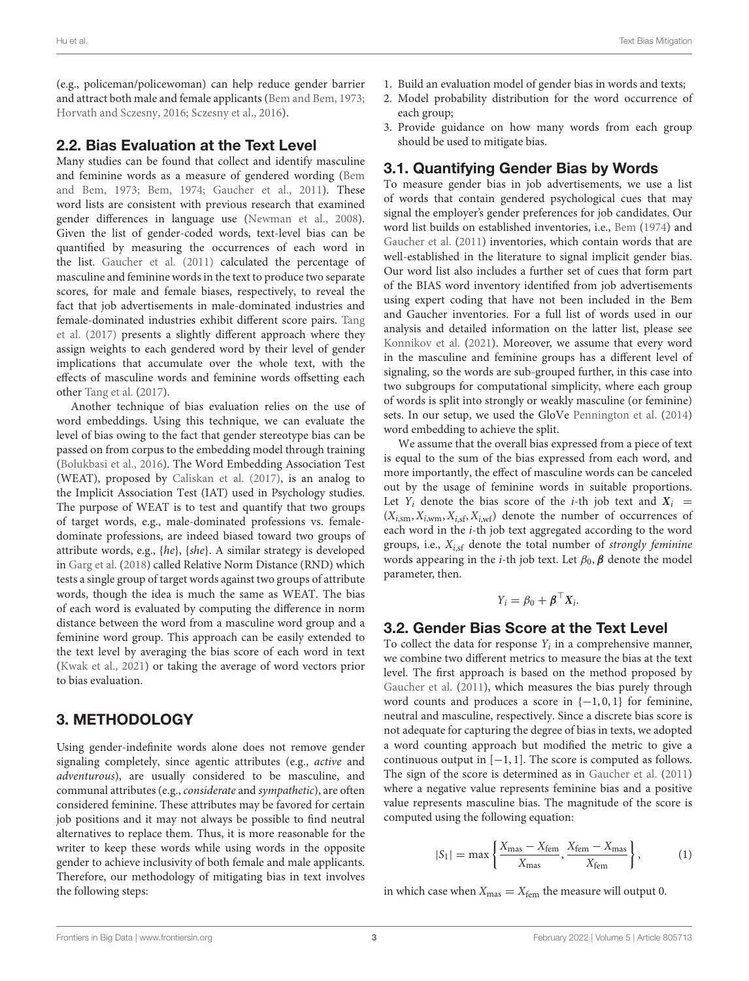(e.g., policeman/policewoman) can help reduce gender barrier and attract both male and female applicants [\(Bem and Bem, 1973;](#page-8-6) [Horvath and Sczesny, 2016;](#page-8-27) [Sczesny et al., 2016\)](#page-8-28).

### 2.2. Bias Evaluation at the Text Level

Many studies can be found that collect and identify masculine and feminine words as a measure of gendered wording (Bem and Bem, [1973;](#page-8-6) [Bem, 1974;](#page-8-29) [Gaucher et al., 2011\)](#page-8-8). These word lists are consistent with previous research that examined gender differences in language use [\(Newman et al., 2008\)](#page-8-30). Given the list of gender-coded words, text-level bias can be quantified by measuring the occurrences of each word in the list. [Gaucher et al. \(2011\)](#page-8-8) calculated the percentage of masculine and feminine words in the text to produce two separate scores, for male and female biases, respectively, to reveal the fact that job advertisements in male-dominated industries and female-dominated industries exhibit different score pairs. Tang et al. [\(2017\)](#page-9-0) presents a slightly different approach where they assign weights to each gendered word by their level of gender implications that accumulate over the whole text, with the effects of masculine words and feminine words offsetting each other [Tang et al.](#page-9-0) [\(2017\)](#page-9-0).

Another technique of bias evaluation relies on the use of word embeddings. Using this technique, we can evaluate the level of bias owing to the fact that gender stereotype bias can be passed on from corpus to the embedding model through training [\(Bolukbasi et al., 2016\)](#page-8-14). The Word Embedding Association Test (WEAT), proposed by [Caliskan et al. \(2017\)](#page-8-11), is an analog to the Implicit Association Test (IAT) used in Psychology studies. The purpose of WEAT is to test and quantify that two groups of target words, e.g., male-dominated professions vs. femaledominate professions, are indeed biased toward two groups of attribute words, e.g., {he}, {she}. A similar strategy is developed in [Garg et al.](#page-8-12) [\(2018\)](#page-8-12) called Relative Norm Distance (RND) which tests a single group of target words against two groups of attribute words, though the idea is much the same as WEAT. The bias of each word is evaluated by computing the difference in norm distance between the word from a masculine word group and a feminine word group. This approach can be easily extended to the text level by averaging the bias score of each word in text [\(Kwak et al., 2021\)](#page-8-13) or taking the average of word vectors prior to bias evaluation.

# 3. METHODOLOGY

Using gender-indefinite words alone does not remove gender signaling completely, since agentic attributes (e.g., active and adventurous), are usually considered to be masculine, and communal attributes (e.g., considerate and sympathetic), are often considered feminine. These attributes may be favored for certain job positions and it may not always be possible to find neutral alternatives to replace them. Thus, it is more reasonable for the writer to keep these words while using words in the opposite gender to achieve inclusivity of both female and male applicants. Therefore, our methodology of mitigating bias in text involves the following steps:

- 1. Build an evaluation model of gender bias in words and texts;
- 2. Model probability distribution for the word occurrence of each group;
- 3. Provide guidance on how many words from each group should be used to mitigate bias.

# 3.1. Quantifying Gender Bias by Words

To measure gender bias in job advertisements, we use a list of words that contain gendered psychological cues that may signal the employer's gender preferences for job candidates. Our word list builds on established inventories, i.e., [Bem](#page-8-29) [\(1974\)](#page-8-29) and [Gaucher et al.](#page-8-8) [\(2011\)](#page-8-8) inventories, which contain words that are well-established in the literature to signal implicit gender bias. Our word list also includes a further set of cues that form part of the BIAS word inventory identified from job advertisements using expert coding that have not been included in the Bem and Gaucher inventories. For a full list of words used in our analysis and detailed information on the latter list, please see [Konnikov et al.](#page-8-31) [\(2021\)](#page-8-31). Moreover, we assume that every word in the masculine and feminine groups has a different level of signaling, so the words are sub-grouped further, in this case into two subgroups for computational simplicity, where each group of words is split into strongly or weakly masculine (or feminine) sets. In our setup, we used the GloVe [Pennington et al.](#page-8-10) [\(2014\)](#page-8-10) word embedding to achieve the split.

We assume that the overall bias expressed from a piece of text is equal to the sum of the bias expressed from each word, and more importantly, the effect of masculine words can be canceled out by the usage of feminine words in suitable proportions. Let  $Y_i$  denote the bias score of the *i*-th job text and  $X_i$  =  $(X_{i,sm}, X_{i,wm}, X_{i,sf}, X_{i,wf})$  denote the number of occurrences of each word in the i-th job text aggregated according to the word groups, i.e.,  $X_{i,sf}$  denote the total number of strongly feminine words appearing in the *i*-th job text. Let  $\beta_0$ ,  $\beta$  denote the model parameter, then.

$$
Y_i = \beta_0 + \boldsymbol{\beta}^\top X_i.
$$

### 3.2. Gender Bias Score at the Text Level

To collect the data for response  $Y_i$  in a comprehensive manner, we combine two different metrics to measure the bias at the text level. The first approach is based on the method proposed by [Gaucher et al.](#page-8-8) [\(2011\)](#page-8-8), which measures the bias purely through word counts and produces a score in  $\{-1, 0, 1\}$  for feminine, neutral and masculine, respectively. Since a discrete bias score is not adequate for capturing the degree of bias in texts, we adopted a word counting approach but modified the metric to give a continuous output in [−1, 1]. The score is computed as follows. The sign of the score is determined as in [Gaucher et al.](#page-8-8) [\(2011\)](#page-8-8) where a negative value represents feminine bias and a positive value represents masculine bias. The magnitude of the score is computed using the following equation:

$$
|S_1| = \max\left\{\frac{X_{\text{mas}} - X_{\text{fem}}}{X_{\text{mas}}}, \frac{X_{\text{fem}} - X_{\text{mas}}}{X_{\text{fem}}}\right\},\tag{1}
$$

in which case when  $X_{\text{mas}} = X_{\text{fem}}$  the measure will output 0.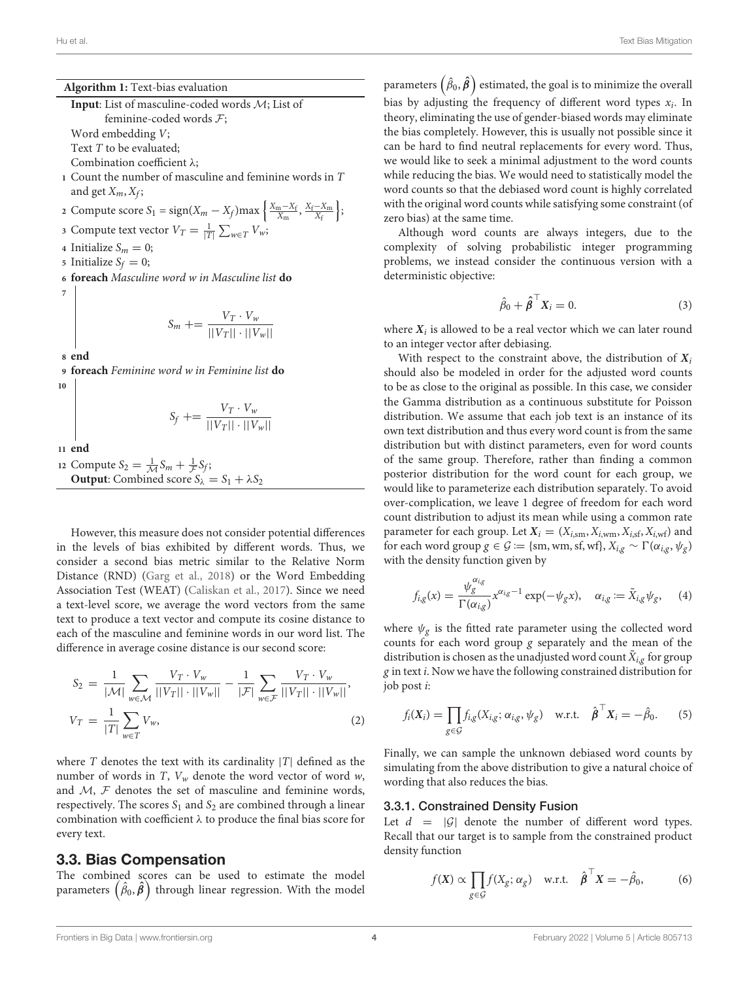**Algorithm 1:** Text-bias evaluation **Input**: List of masculine-coded words M; List of

feminine-coded words F;

Word embedding V;

Text T to be evaluated;

Combination coefficient λ;

**<sup>1</sup>** Count the number of masculine and feminine words in T and get  $X_m$ ,  $X_f$ ;

2 Compute score 
$$
S_1 = sign(X_m - X_f)max\left\{\frac{X_m - X_f}{X_m}, \frac{X_f - X_m}{X_f}\right\};
$$
  
2 Compute text vector  $V_m = \frac{1}{N} \sum_{i=1}^{N} V_i$ .

**3** Compute text vector  $V_T = \frac{1}{|T|} \sum_{w \in T} V_w$ ;

**4** Initialize  $S_m = 0$ ;

- **5** Initialize  $S_f = 0$ ;
- **<sup>6</sup> foreach** Masculine word w in Masculine list **do 7**

$$
S_m \mathrel{+}= \frac{V_T \cdot V_w}{||V_T|| \cdot ||V_w||}
$$

**<sup>8</sup> end**

**<sup>9</sup> foreach** Feminine word w in Feminine list **do**

**10**

$$
S_f \mathrel{+}= \frac{V_T \cdot V_w}{||V_T|| \cdot ||V_w||}
$$

**<sup>11</sup> end**

12 Compute  $S_2 = \frac{1}{\mathcal{M}} S_m + \frac{1}{\mathcal{F}} S_f;$ **Output**: Combined score  $S_{\lambda} = S_1 + \lambda S_2$ 

However, this measure does not consider potential differences in the levels of bias exhibited by different words. Thus, we consider a second bias metric similar to the Relative Norm Distance (RND) [\(Garg et al., 2018\)](#page-8-12) or the Word Embedding Association Test (WEAT) [\(Caliskan et al., 2017\)](#page-8-11). Since we need a text-level score, we average the word vectors from the same text to produce a text vector and compute its cosine distance to each of the masculine and feminine words in our word list. The difference in average cosine distance is our second score:

$$
S_2 = \frac{1}{|\mathcal{M}|} \sum_{w \in \mathcal{M}} \frac{V_T \cdot V_w}{||V_T|| \cdot ||V_w||} - \frac{1}{|\mathcal{F}|} \sum_{w \in \mathcal{F}} \frac{V_T \cdot V_w}{||V_T|| \cdot ||V_w||},
$$
  

$$
V_T = \frac{1}{|T|} \sum_{w \in T} V_w,
$$
 (2)

where  $T$  denotes the text with its cardinality  $|T|$  defined as the number of words in T,  $V_w$  denote the word vector of word w, and  $M$ ,  $F$  denotes the set of masculine and feminine words, respectively. The scores  $S_1$  and  $S_2$  are combined through a linear combination with coefficient  $\lambda$  to produce the final bias score for every text.

#### 3.3. Bias Compensation

The combined scores can be used to estimate the model parameters  $(\hat{\beta}_0, \hat{\beta})$  through linear regression. With the model

parameters  $\left(\hat{\beta}_0,\hat{\pmb{\beta}}\right)$  estimated, the goal is to minimize the overall bias by adjusting the frequency of different word types  $x_i$ . In theory, eliminating the use of gender-biased words may eliminate the bias completely. However, this is usually not possible since it can be hard to find neutral replacements for every word. Thus, we would like to seek a minimal adjustment to the word counts while reducing the bias. We would need to statistically model the word counts so that the debiased word count is highly correlated with the original word counts while satisfying some constraint (of zero bias) at the same time.

Although word counts are always integers, due to the complexity of solving probabilistic integer programming problems, we instead consider the continuous version with a deterministic objective:

$$
\hat{\beta}_0 + \hat{\boldsymbol{\beta}}^\top \boldsymbol{X}_i = 0. \tag{3}
$$

where  $X_i$  is allowed to be a real vector which we can later round to an integer vector after debiasing.

With respect to the constraint above, the distribution of  $X_i$ should also be modeled in order for the adjusted word counts to be as close to the original as possible. In this case, we consider the Gamma distribution as a continuous substitute for Poisson distribution. We assume that each job text is an instance of its own text distribution and thus every word count is from the same distribution but with distinct parameters, even for word counts of the same group. Therefore, rather than finding a common posterior distribution for the word count for each group, we would like to parameterize each distribution separately. To avoid over-complication, we leave 1 degree of freedom for each word count distribution to adjust its mean while using a common rate parameter for each group. Let  $X_i = (X_{i,sm}, X_{i,wm}, X_{i,sf}, X_{i,wf})$  and for each word group  $g \in \mathcal{G} := \{\text{sm}, \text{wm}, \text{sf}, \text{wf}\}, X_{i,g} \sim \Gamma(\alpha_{i,g}, \psi_g)$ with the density function given by

$$
f_{i,g}(x) = \frac{\psi_g^{\alpha_{i,g}}}{\Gamma(\alpha_{i,g})} x^{\alpha_{i,g}-1} \exp(-\psi_g x), \quad \alpha_{i,g} := \tilde{X}_{i,g} \psi_g, \quad (4)
$$

where  $\psi_{g}$  is the fitted rate parameter using the collected word counts for each word group g separately and the mean of the distribution is chosen as the unadjusted word count  $\tilde{X}_{i,g}$  for group g in text i. Now we have the following constrained distribution for job post i:

$$
f_i(\mathbf{X}_i) = \prod_{g \in \mathcal{G}} f_{i,g}(X_{i,g}; \alpha_{i,g}, \psi_g) \quad \text{w.r.t.} \quad \hat{\boldsymbol{\beta}}^\top \mathbf{X}_i = -\hat{\beta}_0. \tag{5}
$$

Finally, we can sample the unknown debiased word counts by simulating from the above distribution to give a natural choice of wording that also reduces the bias.

#### 3.3.1. Constrained Density Fusion

Let  $d = |G|$  denote the number of different word types. Recall that our target is to sample from the constrained product density function

$$
f(\mathbf{X}) \propto \prod_{g \in \mathcal{G}} f(X_g; \alpha_g) \quad \text{w.r.t.} \quad \hat{\boldsymbol{\beta}}^\top \mathbf{X} = -\hat{\beta}_0, \tag{6}
$$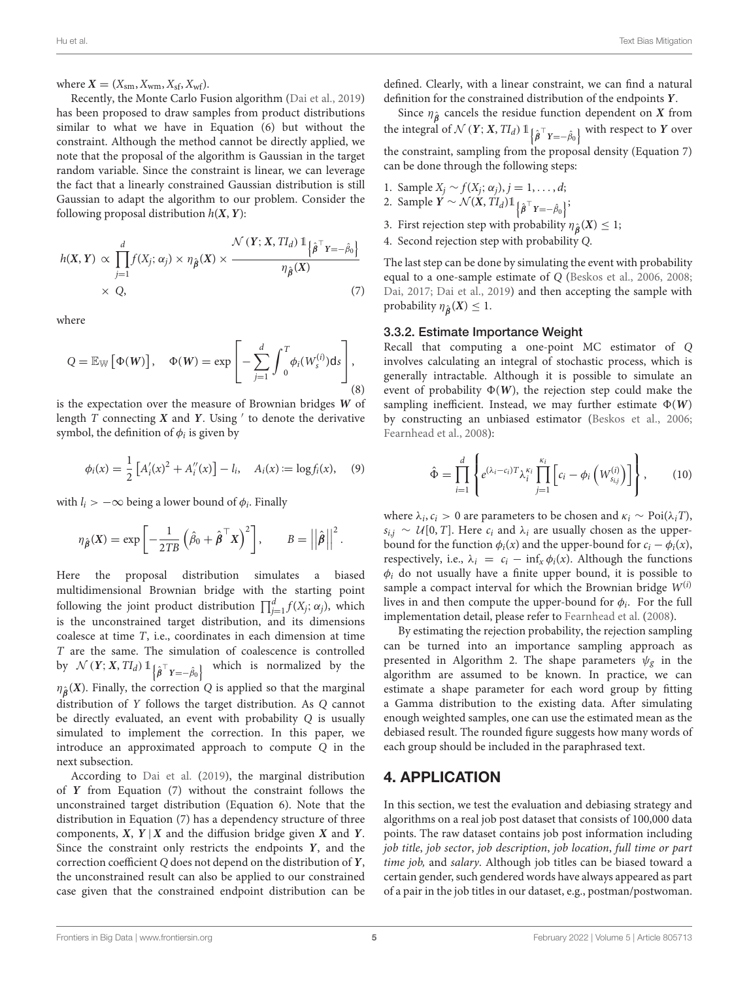where  $X = (X_{\rm sm}, X_{\rm wm}, X_{\rm sf}, X_{\rm wf}).$ 

Recently, the Monte Carlo Fusion algorithm [\(Dai et al., 2019\)](#page-8-32) has been proposed to draw samples from product distributions similar to what we have in Equation (6) but without the constraint. Although the method cannot be directly applied, we note that the proposal of the algorithm is Gaussian in the target random variable. Since the constraint is linear, we can leverage the fact that a linearly constrained Gaussian distribution is still Gaussian to adapt the algorithm to our problem. Consider the following proposal distribution  $h(X, Y)$ :

$$
h(X, Y) \propto \prod_{j=1}^{d} f(X_j; \alpha_j) \times \eta_{\hat{\beta}}(X) \times \frac{\mathcal{N}(Y; X, TI_d) \mathbb{1}_{\left\{\hat{\beta}^\top Y = -\hat{\beta}_0\right\}}}{\eta_{\hat{\beta}}(X)}
$$
  
× Q, (7)

where

$$
Q = \mathbb{E}_{\mathbb{W}}\left[\Phi(W)\right], \quad \Phi(W) = \exp\left[-\sum_{j=1}^{d} \int_{0}^{T} \phi_{i}(W_{s}^{(i)}) \, ds\right],\tag{8}
$$

is the expectation over the measure of Brownian bridges **W** of length T connecting **X** and **Y**. Using ′ to denote the derivative symbol, the definition of  $\phi_i$  is given by

$$
\phi_i(x) = \frac{1}{2} \left[ A'_i(x)^2 + A''_i(x) \right] - l_i, \quad A_i(x) := \log f_i(x), \quad (9)
$$

with  $l_i > -\infty$  being a lower bound of  $\phi_i$ . Finally

$$
\eta_{\hat{\boldsymbol{\beta}}}(\boldsymbol{X}) = \exp\left[-\frac{1}{2TB}\left(\hat{\beta}_0 + \hat{\boldsymbol{\beta}}^\top \boldsymbol{X}\right)^2\right], \qquad B = \left|\left|\hat{\boldsymbol{\beta}}\right|\right|^2.
$$

Here the proposal distribution simulates a biased multidimensional Brownian bridge with the starting point following the joint product distribution  $\prod_{j=1}^{d} f(X_j; \alpha_j)$ , which is the unconstrained target distribution, and its dimensions coalesce at time T, i.e., coordinates in each dimension at time T are the same. The simulation of coalescence is controlled by  $\mathcal{N}(Y; X, TI_d) 1 \big| \hat{\beta}^\top Y = -\hat{\beta}_0$ which is normalized by the  $\eta_{\hat{\boldsymbol{\beta}}}(X)$ . Finally, the correction Q is applied so that the marginal distribution of Y follows the target distribution. As Q cannot be directly evaluated, an event with probability Q is usually simulated to implement the correction. In this paper, we introduce an approximated approach to compute Q in the next subsection.

According to [Dai et al.](#page-8-32) [\(2019\)](#page-8-32), the marginal distribution of **Y** from Equation (7) without the constraint follows the unconstrained target distribution (Equation 6). Note that the distribution in Equation (7) has a dependency structure of three components,  $X$ ,  $Y | X$  and the diffusion bridge given  $X$  and  $Y$ . Since the constraint only restricts the endpoints **Y**, and the correction coefficient Q does not depend on the distribution of **Y**, the unconstrained result can also be applied to our constrained case given that the constrained endpoint distribution can be

defined. Clearly, with a linear constraint, we can find a natural definition for the constrained distribution of the endpoints **Y**.

Since  $\eta_{\hat{\beta}}$  cancels the residue function dependent on **X** from the integral of  $\mathcal{N}(Y; X, TI_d) \mathbb{1}_{\left\{\hat{\boldsymbol{\beta}}^\top Y = -\hat{\beta}_0\right\}}$  with respect to  $Y$  over the constraint, sampling from the proposal density (Equation 7) can be done through the following steps:

- 1. Sample  $X_j \sim f(X_j; \alpha_j), j = 1, \ldots, d;$
- 2. Sample  $\overline{Y} \sim \mathcal{N}(\overline{X}, T I_d) \mathbb{1}_{\{\hat{\beta}^\top Y = -\hat{\beta}_0\}};$
- 3. First rejection step with probability  $\eta_{\hat{\beta}}(X) \leq 1$ ;
- 4. Second rejection step with probability Q.

The last step can be done by simulating the event with probability equal to a one-sample estimate of Q [\(Beskos et al., 2006,](#page-8-33) [2008;](#page-8-34) [Dai, 2017;](#page-8-35) [Dai et al., 2019\)](#page-8-32) and then accepting the sample with probability  $\eta_{\hat{\boldsymbol{\beta}}}(X) \leq 1$ .

#### 3.3.2. Estimate Importance Weight

Recall that computing a one-point MC estimator of Q involves calculating an integral of stochastic process, which is generally intractable. Although it is possible to simulate an event of probability  $\Phi(W)$ , the rejection step could make the sampling inefficient. Instead, we may further estimate  $\Phi(W)$ by constructing an unbiased estimator [\(Beskos et al., 2006;](#page-8-33) [Fearnhead et al., 2008\)](#page-8-36):

$$
\hat{\Phi} = \prod_{i=1}^d \left\{ e^{(\lambda_i - c_i)T} \lambda_i^{\kappa_i} \prod_{j=1}^{\kappa_i} \left[ c_i - \phi_i \left( W_{s_{i,j}}^{(i)} \right) \right] \right\},\qquad(10)
$$

where  $\lambda_i$ ,  $c_i > 0$  are parameters to be chosen and  $\kappa_i \sim \text{Poi}(\lambda_i)$ ,  $s_{i,j} \sim U[0, T]$ . Here  $c_i$  and  $\lambda_i$  are usually chosen as the upperbound for the function  $\phi_i(x)$  and the upper-bound for  $c_i - \phi_i(x)$ , respectively, i.e.,  $\lambda_i = c_i - \inf_x \phi_i(x)$ . Although the functions  $\phi_i$  do not usually have a finite upper bound, it is possible to sample a compact interval for which the Brownian bridge  $W^{(i)}$ lives in and then compute the upper-bound for  $\phi_i$ . For the full implementation detail, please refer to [Fearnhead et al.](#page-8-36) [\(2008\)](#page-8-36).

By estimating the rejection probability, the rejection sampling can be turned into an importance sampling approach as presented in Algorithm 2. The shape parameters  $\psi_{g}$  in the algorithm are assumed to be known. In practice, we can estimate a shape parameter for each word group by fitting a Gamma distribution to the existing data. After simulating enough weighted samples, one can use the estimated mean as the debiased result. The rounded figure suggests how many words of each group should be included in the paraphrased text.

### 4. APPLICATION

In this section, we test the evaluation and debiasing strategy and algorithms on a real job post dataset that consists of 100,000 data points. The raw dataset contains job post information including job title, job sector, job description, job location, full time or part time job, and salary. Although job titles can be biased toward a certain gender, such gendered words have always appeared as part of a pair in the job titles in our dataset, e.g., postman/postwoman.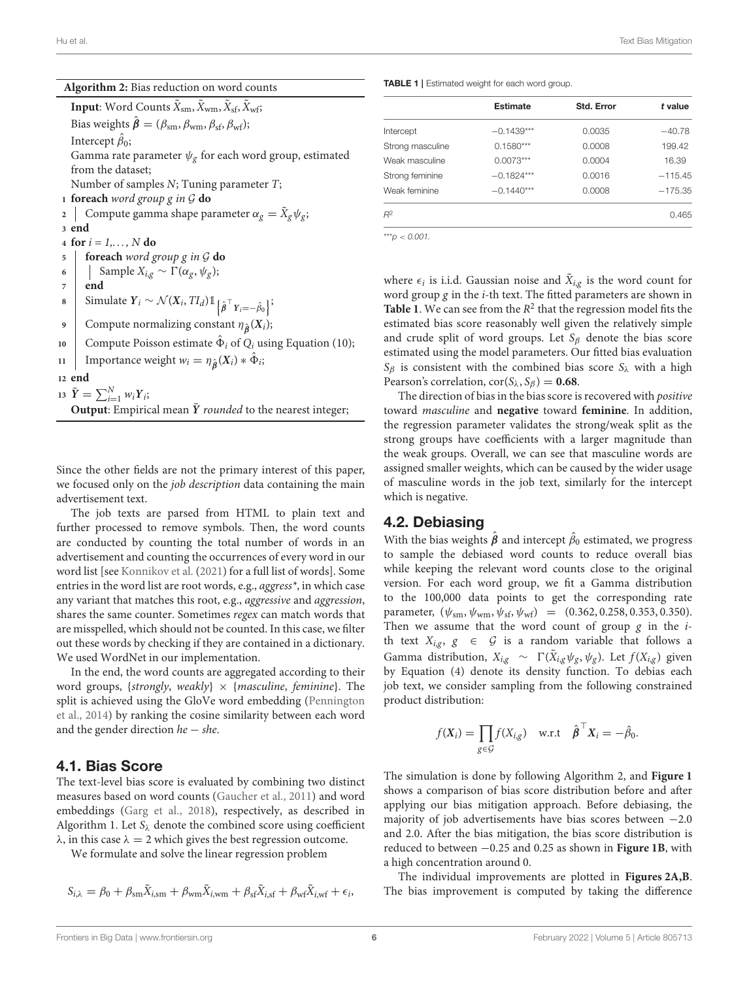| <b>Text Bias Mitigation</b><br>Hu et al. |  |  |  |
|------------------------------------------|--|--|--|
|------------------------------------------|--|--|--|

| Algorithm 2: Bias reduction on word counts |  |
|--------------------------------------------|--|
|--------------------------------------------|--|

**Input**: Word Counts  $\tilde{X}_{\text{sm}}, \tilde{X}_{\text{wm}}, \tilde{X}_{\text{sf}}, \tilde{X}_{\text{wf}}$ ; Bias weights  $\hat{\boldsymbol{\beta}} = (\beta_{\rm sm}, \beta_{\rm wm}, \beta_{\rm sf}, \beta_{\rm wf});$ Intercept  $\hat{\beta}_0$ ; Gamma rate parameter  $\psi_{g}$  for each word group, estimated from the dataset; Number of samples N; Tuning parameter T; **<sup>1</sup> foreach** word group g in G **do** 2  $\; \; \mid \;$  Compute gamma shape parameter  $\alpha_g = \tilde{X}_g \psi_g;$ **<sup>3</sup> end 4 for**  $i = 1, ..., N$  **do <sup>5</sup> foreach** word group g in G **do 6** Sample  $X_{i,g}$  ∼  $\Gamma(\alpha_g, \psi_g);$ **<sup>7</sup> end 8** Simulate  $Y_i \sim \mathcal{N}(X_i, T I_d) \mathbb{1}_{\left\{\hat{\boldsymbol{\beta}}^\top Y_i = -\hat{\beta}_0\right\}};$ **9** Compute normalizing constant  $\eta_{\hat{\boldsymbol{\beta}}}(X_i)$ ; 10 Compute Poisson estimate  $\hat{\Phi}_i$  of  $Q_i$  using Equation (10); **11** Importance weight  $w_i = \eta_{\hat{\boldsymbol{\beta}}}(X_i) * \hat{\Phi}_i;$ **<sup>12</sup> end** 13  $\bar{Y} = \sum_{i=1}^{N} w_i Y_i;$ **Output:** Empirical mean  $\bar{Y}$  *rounded* to the nearest integer;

Since the other fields are not the primary interest of this paper, we focused only on the job description data containing the main advertisement text.

The job texts are parsed from HTML to plain text and further processed to remove symbols. Then, the word counts are conducted by counting the total number of words in an advertisement and counting the occurrences of every word in our word list [see [Konnikov et al.](#page-8-31) [\(2021\)](#page-8-31) for a full list of words]. Some entries in the word list are root words, e.g., aggress\*, in which case any variant that matches this root, e.g., aggressive and aggression, shares the same counter. Sometimes regex can match words that are misspelled, which should not be counted. In this case, we filter out these words by checking if they are contained in a dictionary. We used WordNet in our implementation.

In the end, the word counts are aggregated according to their word groups, {strongly, weakly}  $\times$  {masculine, feminine}. The split is achieved using the GloVe word embedding (Pennington et al., [2014\)](#page-8-10) by ranking the cosine similarity between each word and the gender direction he − she.

### 4.1. Bias Score

The text-level bias score is evaluated by combining two distinct measures based on word counts [\(Gaucher et al., 2011\)](#page-8-8) and word embeddings [\(Garg et al., 2018\)](#page-8-12), respectively, as described in Algorithm 1. Let  $S_\lambda$  denote the combined score using coefficient  $\lambda$ , in this case  $\lambda = 2$  which gives the best regression outcome.

We formulate and solve the linear regression problem

$$
S_{i,\lambda} = \beta_0 + \beta_{\rm sm} \tilde{X}_{i,\rm sm} + \beta_{\rm wm} \tilde{X}_{i,\rm wm} + \beta_{\rm sf} \tilde{X}_{i,\rm sf} + \beta_{\rm wf} \tilde{X}_{i,\rm wf} + \epsilon_i,
$$

<span id="page-5-0"></span>TABLE 1 | Estimated weight for each word group.

|                  | <b>Estimate</b> | <b>Std. Error</b> | t value   |
|------------------|-----------------|-------------------|-----------|
| Intercept        | $-0.1439***$    | 0.0035            | $-40.78$  |
| Strong masculine | $0.1580***$     | 0.0008            | 199.42    |
| Weak masculine   | $0.0073***$     | 0.0004            | 16.39     |
| Strong feminine  | $-0.1824***$    | 0.0016            | $-115.45$ |
| Weak feminine    | $-0.1440***$    | 0.0008            | $-175.35$ |
| $R^2$            |                 |                   | 0.465     |

\*\*\**p* < *0.001.*

where  $\epsilon_i$  is i.i.d. Gaussian noise and  $\tilde{X}_{i,g}$  is the word count for word group  $g$  in the  $i$ -th text. The fitted parameters are shown in **[Table 1](#page-5-0)**. We can see from the  $R^2$  that the regression model fits the estimated bias score reasonably well given the relatively simple and crude split of word groups. Let  $S_\beta$  denote the bias score estimated using the model parameters. Our fitted bias evaluation  $S_\beta$  is consistent with the combined bias score  $S_\lambda$  with a high Pearson's correlation,  $\text{cor}(\mathcal{S}_\lambda, \mathcal{S}_\beta) = 0.68$ .

The direction of bias in the bias score is recovered with positive toward masculine and **negative** toward **feminine**. In addition, the regression parameter validates the strong/weak split as the strong groups have coefficients with a larger magnitude than the weak groups. Overall, we can see that masculine words are assigned smaller weights, which can be caused by the wider usage of masculine words in the job text, similarly for the intercept which is negative.

# 4.2. Debiasing

With the bias weights  $\hat{\boldsymbol{\beta}}$  and intercept  $\hat{\beta}_0$  estimated, we progress to sample the debiased word counts to reduce overall bias while keeping the relevant word counts close to the original version. For each word group, we fit a Gamma distribution to the 100,000 data points to get the corresponding rate parameter,  $(\psi_{\rm sm}, \psi_{\rm wm}, \psi_{\rm sf}, \psi_{\rm wf}) = (0.362, 0.258, 0.353, 0.350).$ Then we assume that the word count of group  $g$  in the  $i$ th text  $X_{i,g}, g \in \mathcal{G}$  is a random variable that follows a Gamma distribution,  $X_{i,g} \sim \Gamma(\tilde{X}_{i,g} \psi_g, \psi_g)$ . Let  $f(X_{i,g})$  given by Equation (4) denote its density function. To debias each job text, we consider sampling from the following constrained product distribution:

$$
f(\mathbf{X}_i) = \prod_{g \in \mathcal{G}} f(X_{i,g}) \quad \text{w.r.t} \quad \hat{\boldsymbol{\beta}}^\top \mathbf{X}_i = -\hat{\beta}_0.
$$

The simulation is done by following Algorithm 2, and **[Figure 1](#page-6-0)** shows a comparison of bias score distribution before and after applying our bias mitigation approach. Before debiasing, the majority of job advertisements have bias scores between −2.0 and 2.0. After the bias mitigation, the bias score distribution is reduced to between −0.25 and 0.25 as shown in **[Figure 1B](#page-6-0)**, with a high concentration around 0.

The individual improvements are plotted in **[Figures 2A,B](#page-7-0)**. The bias improvement is computed by taking the difference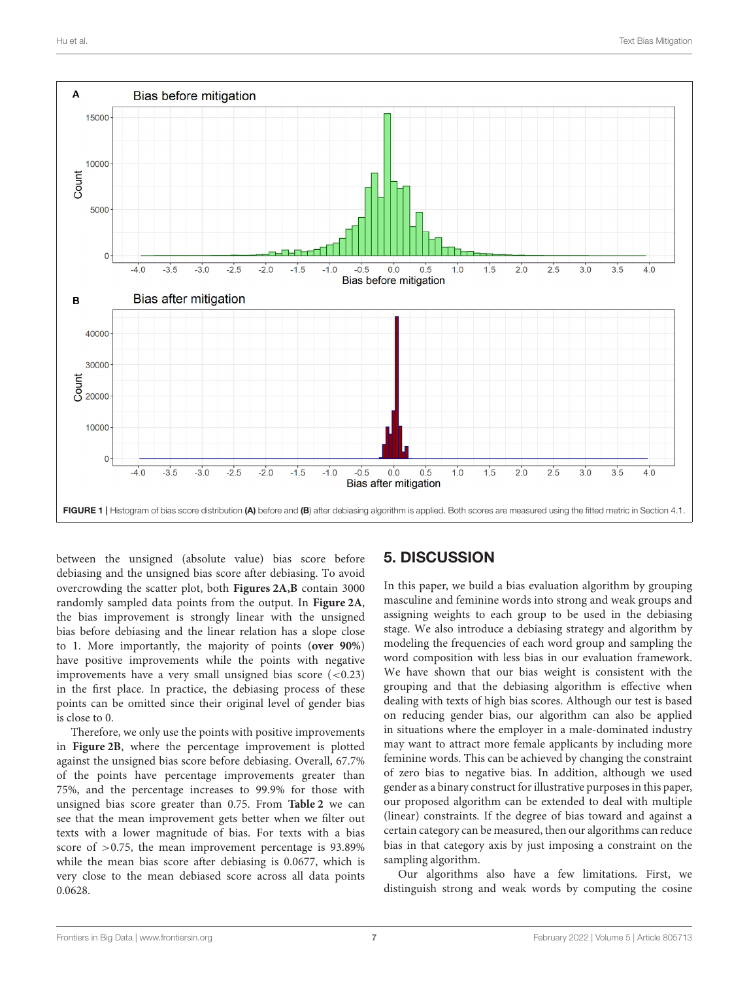

<span id="page-6-0"></span>between the unsigned (absolute value) bias score before debiasing and the unsigned bias score after debiasing. To avoid overcrowding the scatter plot, both **[Figures 2A,B](#page-7-0)** contain 3000 randomly sampled data points from the output. In **[Figure 2A](#page-7-0)**, the bias improvement is strongly linear with the unsigned bias before debiasing and the linear relation has a slope close to 1. More importantly, the majority of points (**over 90%**) have positive improvements while the points with negative improvements have a very small unsigned bias score  $(<0.23)$ in the first place. In practice, the debiasing process of these points can be omitted since their original level of gender bias is close to 0.

Therefore, we only use the points with positive improvements in **[Figure 2B](#page-7-0)**, where the percentage improvement is plotted against the unsigned bias score before debiasing. Overall, 67.7% of the points have percentage improvements greater than 75%, and the percentage increases to 99.9% for those with unsigned bias score greater than 0.75. From **[Table 2](#page-7-1)** we can see that the mean improvement gets better when we filter out texts with a lower magnitude of bias. For texts with a bias score of  $>0.75$ , the mean improvement percentage is 93.89% while the mean bias score after debiasing is 0.0677, which is very close to the mean debiased score across all data points 0.0628.

# 5. DISCUSSION

In this paper, we build a bias evaluation algorithm by grouping masculine and feminine words into strong and weak groups and assigning weights to each group to be used in the debiasing stage. We also introduce a debiasing strategy and algorithm by modeling the frequencies of each word group and sampling the word composition with less bias in our evaluation framework. We have shown that our bias weight is consistent with the grouping and that the debiasing algorithm is effective when dealing with texts of high bias scores. Although our test is based on reducing gender bias, our algorithm can also be applied in situations where the employer in a male-dominated industry may want to attract more female applicants by including more feminine words. This can be achieved by changing the constraint of zero bias to negative bias. In addition, although we used gender as a binary construct for illustrative purposes in this paper, our proposed algorithm can be extended to deal with multiple (linear) constraints. If the degree of bias toward and against a certain category can be measured, then our algorithms can reduce bias in that category axis by just imposing a constraint on the sampling algorithm.

Our algorithms also have a few limitations. First, we distinguish strong and weak words by computing the cosine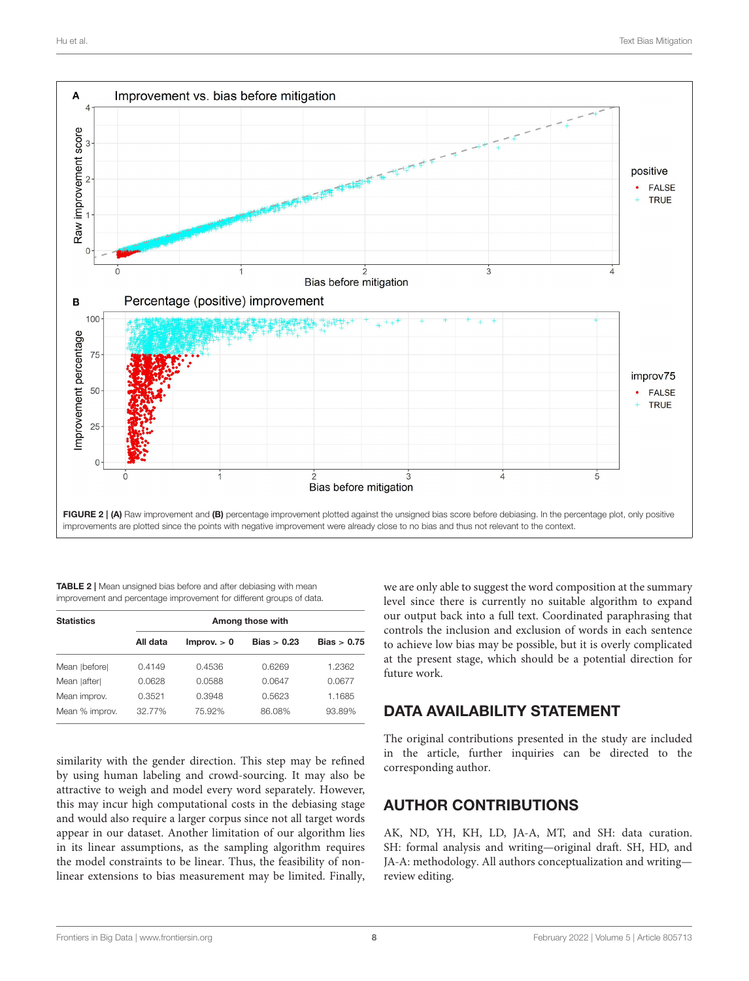

<span id="page-7-1"></span><span id="page-7-0"></span>TABLE 2 | Mean unsigned bias before and after debiasing with mean improvement and percentage improvement for different groups of data.

| <b>Statistics</b> |          |             |               |               |
|-------------------|----------|-------------|---------------|---------------|
|                   | All data | Improv. > 0 | Bias $> 0.23$ | Bias $> 0.75$ |
| Mean   before     | 0.4149   | 0.4536      | 0.6269        | 1.2362        |
| Mean   after      | 0.0628   | 0.0588      | 0.0647        | 0.0677        |
| Mean improv.      | 0.3521   | 0.3948      | 0.5623        | 1.1685        |
| Mean % improv.    | 32.77%   | 75.92%      | 86.08%        | 93.89%        |

similarity with the gender direction. This step may be refined by using human labeling and crowd-sourcing. It may also be attractive to weigh and model every word separately. However, this may incur high computational costs in the debiasing stage and would also require a larger corpus since not all target words appear in our dataset. Another limitation of our algorithm lies in its linear assumptions, as the sampling algorithm requires the model constraints to be linear. Thus, the feasibility of nonlinear extensions to bias measurement may be limited. Finally,

we are only able to suggest the word composition at the summary level since there is currently no suitable algorithm to expand our output back into a full text. Coordinated paraphrasing that controls the inclusion and exclusion of words in each sentence to achieve low bias may be possible, but it is overly complicated at the present stage, which should be a potential direction for future work.

# DATA AVAILABILITY STATEMENT

The original contributions presented in the study are included in the article, further inquiries can be directed to the corresponding author.

# AUTHOR CONTRIBUTIONS

AK, ND, YH, KH, LD, JA-A, MT, and SH: data curation. SH: formal analysis and writing—original draft. SH, HD, and JA-A: methodology. All authors conceptualization and writing review editing.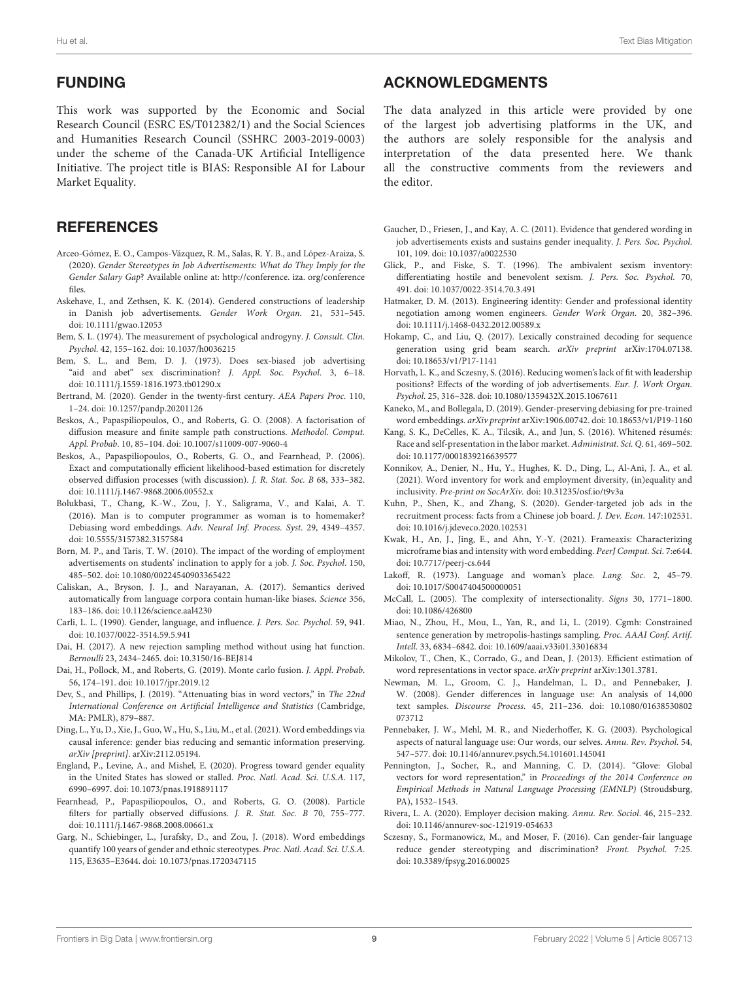### FUNDING

This work was supported by the Economic and Social Research Council (ESRC ES/T012382/1) and the Social Sciences and Humanities Research Council (SSHRC 2003-2019-0003) under the scheme of the Canada-UK Artificial Intelligence Initiative. The project title is BIAS: Responsible AI for Labour Market Equality.

# **REFERENCES**

- <span id="page-8-26"></span>Arceo-Gómez, E. O., Campos-Vázquez, R. M., Salas, R. Y. B., and López-Araiza, S. (2020). Gender Stereotypes in Job Advertisements: What do They Imply for the Gender Salary Gap? Available online at: http://conference. iza. org/conference files.
- <span id="page-8-25"></span>Askehave, I., and Zethsen, K. K. (2014). Gendered constructions of leadership in Danish job advertisements. Gender Work Organ. 21, 531–545. doi: [10.1111/gwao.12053](https://doi.org/10.1111/gwao.12053)
- <span id="page-8-29"></span>Bem, S. L. (1974). The measurement of psychological androgyny. J. Consult. Clin. Psychol. 42, 155–162. doi: [10.1037/h0036215](https://doi.org/10.1037/h0036215)
- <span id="page-8-6"></span>Bem, S. L., and Bem, D. J. (1973). Does sex-biased job advertising "aid and abet" sex discrimination? J. Appl. Soc. Psychol. 3, 6–18. doi: [10.1111/j.1559-1816.1973.tb01290.x](https://doi.org/10.1111/j.1559-1816.1973.tb01290.x)
- <span id="page-8-0"></span>Bertrand, M. (2020). Gender in the twenty-first century. AEA Papers Proc. 110, 1–24. doi: [10.1257/pandp.20201126](https://doi.org/10.1257/pandp.20201126)
- <span id="page-8-34"></span>Beskos, A., Papaspiliopoulos, O., and Roberts, G. O. (2008). A factorisation of diffusion measure and finite sample path constructions. Methodol. Comput. Appl. Probab. 10, 85–104. doi: [10.1007/s11009-007-9060-4](https://doi.org/10.1007/s11009-007-9060-4)
- <span id="page-8-33"></span>Beskos, A., Papaspiliopoulos, O., Roberts, G. O., and Fearnhead, P. (2006). Exact and computationally efficient likelihood-based estimation for discretely observed diffusion processes (with discussion). J. R. Stat. Soc. B 68, 333–382. doi: [10.1111/j.1467-9868.2006.00552.x](https://doi.org/10.1111/j.1467-9868.2006.00552.x)
- <span id="page-8-14"></span>Bolukbasi, T., Chang, K.-W., Zou, J. Y., Saligrama, V., and Kalai, A. T. (2016). Man is to computer programmer as woman is to homemaker? Debiasing word embeddings. Adv. Neural Inf. Process. Syst. 29, 4349–4357. doi: [10.5555/3157382.3157584](https://doi.org/10.5555/3157382.3157584)
- <span id="page-8-7"></span>Born, M. P., and Taris, T. W. (2010). The impact of the wording of employment advertisements on students' inclination to apply for a job. J. Soc. Psychol. 150, 485–502. doi: [10.1080/00224540903365422](https://doi.org/10.1080/00224540903365422)
- <span id="page-8-11"></span>Caliskan, A., Bryson, J. J., and Narayanan, A. (2017). Semantics derived automatically from language corpora contain human-like biases. Science 356, 183–186. doi: [10.1126/science.aal4230](https://doi.org/10.1126/science.aal4230)
- <span id="page-8-5"></span>Carli, L. L. (1990). Gender, language, and influence. J. Pers. Soc. Psychol. 59, 941. doi: [10.1037/0022-3514.59.5.941](https://doi.org/10.1037/0022-3514.59.5.941)
- <span id="page-8-35"></span>Dai, H. (2017). A new rejection sampling method without using hat function. Bernoulli 23, 2434–2465. doi: [10.3150/16-BEJ814](https://doi.org/10.3150/16-BEJ814)
- <span id="page-8-32"></span>Dai, H., Pollock, M., and Roberts, G. (2019). Monte carlo fusion. J. Appl. Probab. 56, 174–191. doi: [10.1017/jpr.2019.12](https://doi.org/10.1017/jpr.2019.12)
- <span id="page-8-15"></span>Dev, S., and Phillips, J. (2019). "Attenuating bias in word vectors," in The 22nd International Conference on Artificial Intelligence and Statistics (Cambridge, MA: PMLR), 879–887.
- <span id="page-8-17"></span>Ding, L., Yu, D., Xie, J., Guo, W., Hu, S., Liu, M., et al. (2021). Word embeddings via causal inference: gender bias reducing and semantic information preserving. arXiv [preprint]. arXiv:2112.05194.
- <span id="page-8-1"></span>England, P., Levine, A., and Mishel, E. (2020). Progress toward gender equality in the United States has slowed or stalled. Proc. Natl. Acad. Sci. U.S.A. 117, 6990–6997. doi: [10.1073/pnas.1918891117](https://doi.org/10.1073/pnas.1918891117)
- <span id="page-8-36"></span>Fearnhead, P., Papaspiliopoulos, O., and Roberts, G. O. (2008). Particle filters for partially observed diffusions. J. R. Stat. Soc. B 70, 755–777. doi: [10.1111/j.1467-9868.2008.00661.x](https://doi.org/10.1111/j.1467-9868.2008.00661.x)
- <span id="page-8-12"></span>Garg, N., Schiebinger, L., Jurafsky, D., and Zou, J. (2018). Word embeddings quantify 100 years of gender and ethnic stereotypes. Proc. Natl. Acad. Sci. U.S.A. 115, E3635–E3644. doi: [10.1073/pnas.1720347115](https://doi.org/10.1073/pnas.1720347115)

# ACKNOWLEDGMENTS

The data analyzed in this article were provided by one of the largest job advertising platforms in the UK, and the authors are solely responsible for the analysis and interpretation of the data presented here. We thank all the constructive comments from the reviewers and the editor.

- <span id="page-8-8"></span>Gaucher, D., Friesen, J., and Kay, A. C. (2011). Evidence that gendered wording in job advertisements exists and sustains gender inequality. J. Pers. Soc. Psychol. 101, 109. doi: [10.1037/a0022530](https://doi.org/10.1037/a0022530)
- <span id="page-8-2"></span>Glick, P., and Fiske, S. T. (1996). The ambivalent sexism inventory: differentiating hostile and benevolent sexism. J. Pers. Soc. Psychol. 70, 491. doi: [10.1037/0022-3514.70.3.491](https://doi.org/10.1037/0022-3514.70.3.491)
- <span id="page-8-20"></span>Hatmaker, D. M. (2013). Engineering identity: Gender and professional identity negotiation among women engineers. Gender Work Organ. 20, 382–396. doi: [10.1111/j.1468-0432.2012.00589.x](https://doi.org/10.1111/j.1468-0432.2012.00589.x)
- <span id="page-8-18"></span>Hokamp, C., and Liu, Q. (2017). Lexically constrained decoding for sequence generation using grid beam search. arXiv preprint arXiv:1704.07138. doi: [10.18653/v1/P17-1141](https://doi.org/10.18653/v1/P17-1141)
- <span id="page-8-27"></span>Horvath, L. K., and Sczesny, S. (2016). Reducing women's lack of fit with leadership positions? Effects of the wording of job advertisements. Eur. J. Work Organ. Psychol. 25, 316–328. doi: [10.1080/1359432X.2015.1067611](https://doi.org/10.1080/1359432X.2015.1067611)
- <span id="page-8-16"></span>Kaneko, M., and Bollegala, D. (2019). Gender-preserving debiasing for pre-trained word embeddings. arXiv preprint arXiv:1906.00742. doi: [10.18653/v1/P19-1160](https://doi.org/10.18653/v1/P19-1160)
- <span id="page-8-21"></span>Kang, S. K., DeCelles, K. A., Tilcsik, A., and Jun, S. (2016). Whitened résumés: Race and self-presentation in the labor market. Administrat. Sci. Q. 61, 469–502. doi: [10.1177/0001839216639577](https://doi.org/10.1177/0001839216639577)
- <span id="page-8-31"></span>Konnikov, A., Denier, N., Hu, Y., Hughes, K. D., Ding, L., Al-Ani, J. A., et al. (2021). Word inventory for work and employment diversity, (in)equality and inclusivity. Pre-print on SocArXiv. doi: [10.31235/osf.io/t9v3a](https://doi.org/10.31235/osf.io/t9v3a)
- <span id="page-8-24"></span>Kuhn, P., Shen, K., and Zhang, S. (2020). Gender-targeted job ads in the recruitment process: facts from a Chinese job board. J. Dev. Econ. 147:102531. doi: [10.1016/j.jdeveco.2020.102531](https://doi.org/10.1016/j.jdeveco.2020.102531)
- <span id="page-8-13"></span>Kwak, H., An, J., Jing, E., and Ahn, Y.-Y. (2021). Frameaxis: Characterizing microframe bias and intensity with word embedding. PeerJ Comput. Sci. 7:e644. doi: [10.7717/peerj-cs.644](https://doi.org/10.7717/peerj-cs.644)
- <span id="page-8-4"></span>Lakoff, R. (1973). Language and woman's place. Lang. Soc. 2, 45–79. doi: [10.1017/S0047404500000051](https://doi.org/10.1017/S0047404500000051)
- <span id="page-8-23"></span>McCall, L. (2005). The complexity of intersectionality. Signs 30, 1771–1800. doi: [10.1086/426800](https://doi.org/10.1086/426800)
- <span id="page-8-19"></span>Miao, N., Zhou, H., Mou, L., Yan, R., and Li, L. (2019). Cgmh: Constrained sentence generation by metropolis-hastings sampling. Proc. AAAI Conf. Artif. Intell. 33, 6834–6842. doi: [10.1609/aaai.v33i01.33016834](https://doi.org/10.1609/aaai.v33i01.33016834)
- <span id="page-8-9"></span>Mikolov, T., Chen, K., Corrado, G., and Dean, J. (2013). Efficient estimation of word representations in vector space. arXiv preprint arXiv:1301.3781.
- <span id="page-8-30"></span>Newman, M. L., Groom, C. J., Handelman, L. D., and Pennebaker, J. W. (2008). Gender differences in language use: An analysis of 14,000 text samples. Discourse Process[. 45, 211–236. doi: 10.1080/01638530802](https://doi.org/10.1080/01638530802073712) 073712
- <span id="page-8-3"></span>Pennebaker, J. W., Mehl, M. R., and Niederhoffer, K. G. (2003). Psychological aspects of natural language use: Our words, our selves. Annu. Rev. Psychol. 54, 547–577. doi: [10.1146/annurev.psych.54.101601.145041](https://doi.org/10.1146/annurev.psych.54.101601.145041)
- <span id="page-8-10"></span>Pennington, J., Socher, R., and Manning, C. D. (2014). "Glove: Global vectors for word representation," in Proceedings of the 2014 Conference on Empirical Methods in Natural Language Processing (EMNLP) (Stroudsburg, PA), 1532–1543.
- <span id="page-8-22"></span>Rivera, L. A. (2020). Employer decision making. Annu. Rev. Sociol. 46, 215–232. doi: [10.1146/annurev-soc-121919-054633](https://doi.org/10.1146/annurev-soc-121919-054633)
- <span id="page-8-28"></span>Sczesny, S., Formanowicz, M., and Moser, F. (2016). Can gender-fair language reduce gender stereotyping and discrimination? Front. Psychol. 7:25. doi: [10.3389/fpsyg.2016.00025](https://doi.org/10.3389/fpsyg.2016.00025)